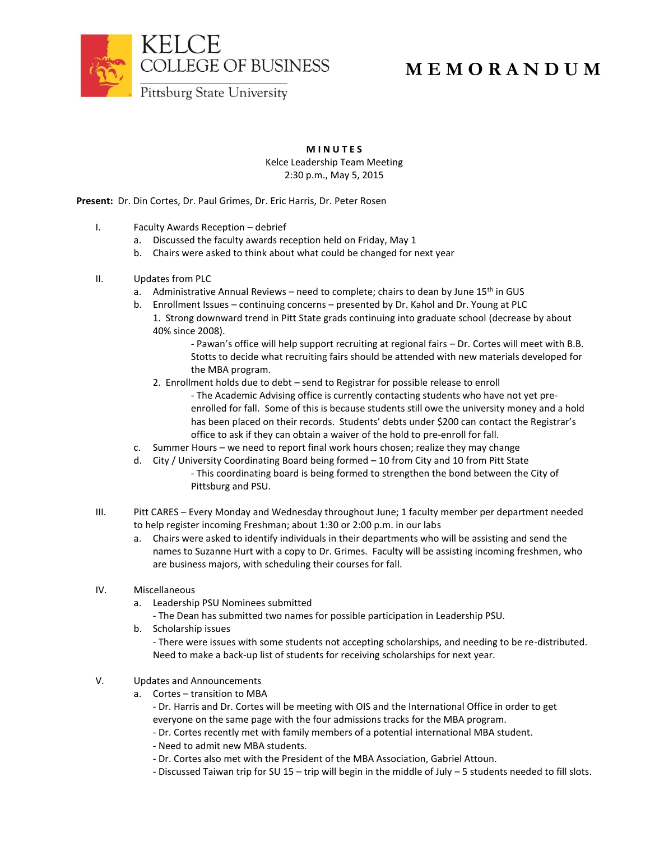

## **M E M O R A N D U M**

**M I N U T E S**

Kelce Leadership Team Meeting 2:30 p.m., May 5, 2015

**Present:** Dr. Din Cortes, Dr. Paul Grimes, Dr. Eric Harris, Dr. Peter Rosen

- I. Faculty Awards Reception debrief
	- a. Discussed the faculty awards reception held on Friday, May 1
	- b. Chairs were asked to think about what could be changed for next year
- II. Updates from PLC
	- a. Administrative Annual Reviews need to complete; chairs to dean by June  $15<sup>th</sup>$  in GUS
	- b. Enrollment Issues continuing concerns presented by Dr. Kahol and Dr. Young at PLC 1. Strong downward trend in Pitt State grads continuing into graduate school (decrease by about 40% since 2008).
		- Pawan's office will help support recruiting at regional fairs Dr. Cortes will meet with B.B. Stotts to decide what recruiting fairs should be attended with new materials developed for the MBA program.
		- 2. Enrollment holds due to debt send to Registrar for possible release to enroll
			- The Academic Advising office is currently contacting students who have not yet preenrolled for fall. Some of this is because students still owe the university money and a hold has been placed on their records. Students' debts under \$200 can contact the Registrar's office to ask if they can obtain a waiver of the hold to pre-enroll for fall.
	- c. Summer Hours we need to report final work hours chosen; realize they may change
	- d. City / University Coordinating Board being formed 10 from City and 10 from Pitt State - This coordinating board is being formed to strengthen the bond between the City of Pittsburg and PSU.
- III. Pitt CARES Every Monday and Wednesday throughout June; 1 faculty member per department needed to help register incoming Freshman; about 1:30 or 2:00 p.m. in our labs
	- a. Chairs were asked to identify individuals in their departments who will be assisting and send the names to Suzanne Hurt with a copy to Dr. Grimes. Faculty will be assisting incoming freshmen, who are business majors, with scheduling their courses for fall.
- IV. Miscellaneous
	- a. Leadership PSU Nominees submitted
		- The Dean has submitted two names for possible participation in Leadership PSU.
	- b. Scholarship issues - There were issues with some students not accepting scholarships, and needing to be re-distributed. Need to make a back-up list of students for receiving scholarships for next year.
- V. Updates and Announcements
	- a. Cortes transition to MBA
		- Dr. Harris and Dr. Cortes will be meeting with OIS and the International Office in order to get everyone on the same page with the four admissions tracks for the MBA program.
		- Dr. Cortes recently met with family members of a potential international MBA student.
		- Need to admit new MBA students.
		- Dr. Cortes also met with the President of the MBA Association, Gabriel Attoun.
		- Discussed Taiwan trip for SU 15 trip will begin in the middle of July 5 students needed to fill slots.